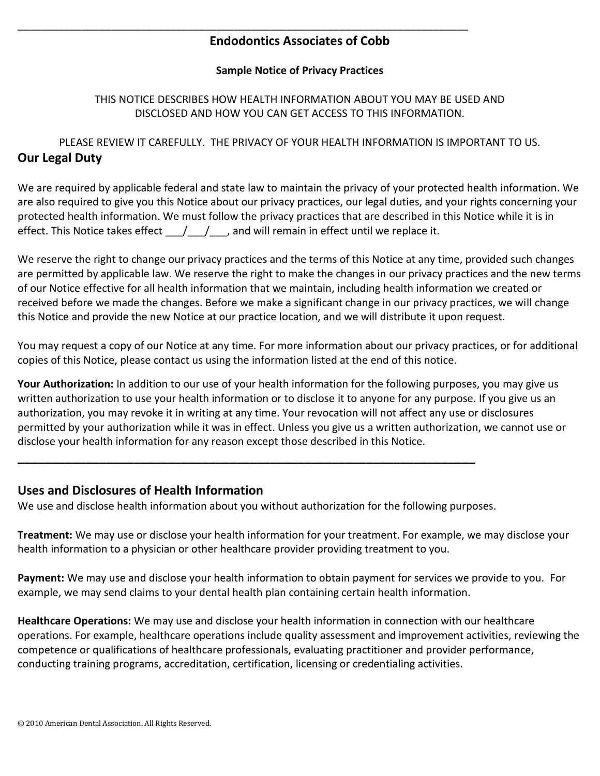# **Endodontics Associates of Cobb**

\_\_\_\_\_\_\_\_\_\_\_\_\_\_\_\_\_\_\_\_\_\_\_\_\_\_\_\_\_\_\_\_\_\_\_\_\_\_\_\_\_\_\_\_\_\_\_\_\_\_\_\_\_\_\_\_\_\_\_\_\_\_\_\_\_\_\_\_\_\_\_\_\_\_\_\_\_

#### **Sample Notice of Privacy Practices**

### THIS NOTICE DESCRIBES HOW HEALTH INFORMATION ABOUT YOU MAY BE USED AND DISCLOSED AND HOW YOU CAN GET ACCESS TO THIS INFORMATION.

PLEASE REVIEW IT CAREFULLY. THE PRIVACY OF YOUR HEALTH INFORMATION IS IMPORTANT TO US. **Our Legal Duty**

We are required by applicable federal and state law to maintain the privacy of your protected health information. We are also required to give you this Notice about our privacy practices, our legal duties, and your rights concerning your protected health information. We must follow the privacy practices that are described in this Notice while it is in effect. This Notice takes effect  $\left( \begin{array}{cc} \end{array} \right)$ , and will remain in effect until we replace it.

We reserve the right to change our privacy practices and the terms of this Notice at any time, provided such changes are permitted by applicable law. We reserve the right to make the changes in our privacy practices and the new terms of our Notice effective for all health information that we maintain, including health information we created or received before we made the changes. Before we make a significant change in our privacy practices, we will change this Notice and provide the new Notice at our practice location, and we will distribute it upon request.

You may request a copy of our Notice at any time. For more information about our privacy practices, or for additional copies of this Notice, please contact us using the information listed at the end of this notice.

**Your Authorization:** In addition to our use of your health information for the following purposes, you may give us written authorization to use your health information or to disclose it to anyone for any purpose. If you give us an authorization, you may revoke it in writing at any time. Your revocation will not affect any use or disclosures permitted by your authorization while it was in effect. Unless you give us a written authorization, we cannot use or disclose your health information for any reason except those described in this Notice.

### **Uses and Disclosures of Health Information**

We use and disclose health information about you without authorization for the following purposes.

**\_\_\_\_\_\_\_\_\_\_\_\_\_\_\_\_\_\_\_\_\_\_\_\_\_\_\_\_\_\_\_\_\_\_\_\_\_\_\_\_\_\_\_\_\_\_\_\_\_\_\_\_\_\_\_\_\_\_\_\_\_\_\_\_\_\_\_**

**Treatment:** We may use or disclose your health information for your treatment. For example, we may disclose your health information to a physician or other healthcare provider providing treatment to you.

**Payment:** We may use and disclose your health information to obtain payment for services we provide to you. For example, we may send claims to your dental health plan containing certain health information.

**Healthcare Operations:** We may use and disclose your health information in connection with our healthcare operations. For example, healthcare operations include quality assessment and improvement activities, reviewing the competence or qualifications of healthcare professionals, evaluating practitioner and provider performance, conducting training programs, accreditation, certification, licensing or credentialing activities.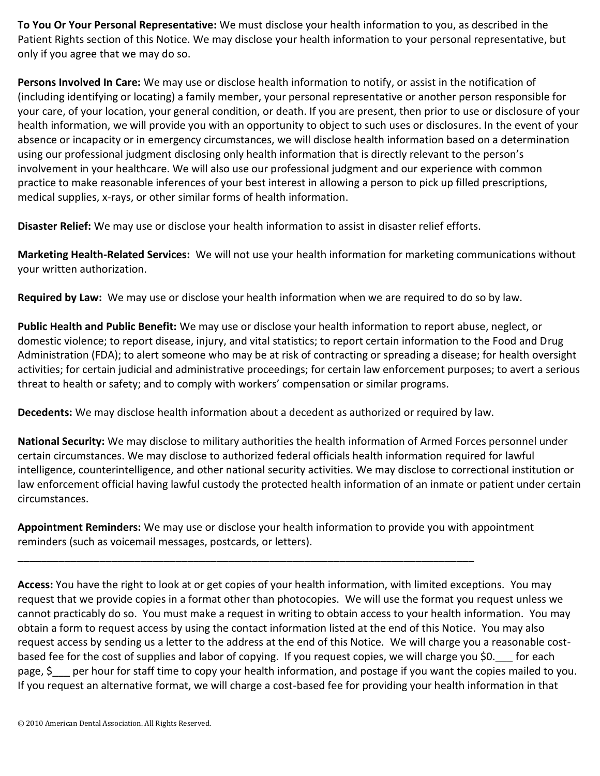**To You Or Your Personal Representative:** We must disclose your health information to you, as described in the Patient Rights section of this Notice. We may disclose your health information to your personal representative, but only if you agree that we may do so.

**Persons Involved In Care:** We may use or disclose health information to notify, or assist in the notification of (including identifying or locating) a family member, your personal representative or another person responsible for your care, of your location, your general condition, or death. If you are present, then prior to use or disclosure of your health information, we will provide you with an opportunity to object to such uses or disclosures. In the event of your absence or incapacity or in emergency circumstances, we will disclose health information based on a determination using our professional judgment disclosing only health information that is directly relevant to the person's involvement in your healthcare. We will also use our professional judgment and our experience with common practice to make reasonable inferences of your best interest in allowing a person to pick up filled prescriptions, medical supplies, x-rays, or other similar forms of health information.

**Disaster Relief:** We may use or disclose your health information to assist in disaster relief efforts.

**Marketing Health-Related Services:** We will not use your health information for marketing communications without your written authorization.

**Required by Law:** We may use or disclose your health information when we are required to do so by law.

**Public Health and Public Benefit:** We may use or disclose your health information to report abuse, neglect, or domestic violence; to report disease, injury, and vital statistics; to report certain information to the Food and Drug Administration (FDA); to alert someone who may be at risk of contracting or spreading a disease; for health oversight activities; for certain judicial and administrative proceedings; for certain law enforcement purposes; to avert a serious threat to health or safety; and to comply with workers' compensation or similar programs.

**Decedents:** We may disclose health information about a decedent as authorized or required by law.

**National Security:** We may disclose to military authorities the health information of Armed Forces personnel under certain circumstances. We may disclose to authorized federal officials health information required for lawful intelligence, counterintelligence, and other national security activities. We may disclose to correctional institution or law enforcement official having lawful custody the protected health information of an inmate or patient under certain circumstances.

**Appointment Reminders:** We may use or disclose your health information to provide you with appointment reminders (such as voicemail messages, postcards, or letters).

\_\_\_\_\_\_\_\_\_\_\_\_\_\_\_\_\_\_\_\_\_\_\_\_\_\_\_\_\_\_\_\_\_\_\_\_\_\_\_\_\_\_\_\_\_\_\_\_\_\_\_\_\_\_\_\_\_\_\_\_\_\_\_\_\_\_\_\_\_\_\_\_\_\_\_\_\_\_

**Access:** You have the right to look at or get copies of your health information, with limited exceptions. You may request that we provide copies in a format other than photocopies. We will use the format you request unless we cannot practicably do so. You must make a request in writing to obtain access to your health information. You may obtain a form to request access by using the contact information listed at the end of this Notice. You may also request access by sending us a letter to the address at the end of this Notice. We will charge you a reasonable costbased fee for the cost of supplies and labor of copying. If you request copies, we will charge you \$0. For each page,  $\zeta$  per hour for staff time to copy your health information, and postage if you want the copies mailed to you. If you request an alternative format, we will charge a cost-based fee for providing your health information in that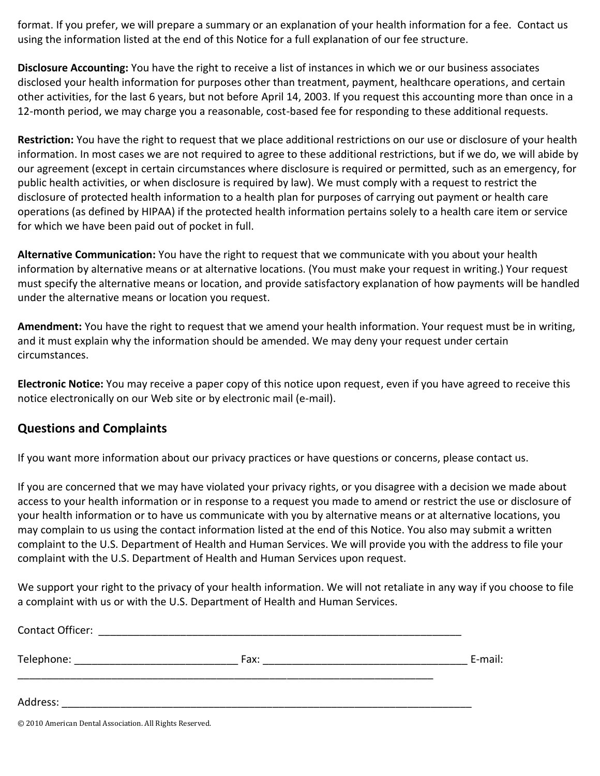format. If you prefer, we will prepare a summary or an explanation of your health information for a fee. Contact us using the information listed at the end of this Notice for a full explanation of our fee structure.

**Disclosure Accounting:** You have the right to receive a list of instances in which we or our business associates disclosed your health information for purposes other than treatment, payment, healthcare operations, and certain other activities, for the last 6 years, but not before April 14, 2003. If you request this accounting more than once in a 12-month period, we may charge you a reasonable, cost-based fee for responding to these additional requests.

**Restriction:** You have the right to request that we place additional restrictions on our use or disclosure of your health information. In most cases we are not required to agree to these additional restrictions, but if we do, we will abide by our agreement (except in certain circumstances where disclosure is required or permitted, such as an emergency, for public health activities, or when disclosure is required by law). We must comply with a request to restrict the disclosure of protected health information to a health plan for purposes of carrying out payment or health care operations (as defined by HIPAA) if the protected health information pertains solely to a health care item or service for which we have been paid out of pocket in full.

**Alternative Communication:** You have the right to request that we communicate with you about your health information by alternative means or at alternative locations. (You must make your request in writing.) Your request must specify the alternative means or location, and provide satisfactory explanation of how payments will be handled under the alternative means or location you request.

**Amendment:** You have the right to request that we amend your health information. Your request must be in writing, and it must explain why the information should be amended. We may deny your request under certain circumstances.

**Electronic Notice:** You may receive a paper copy of this notice upon request, even if you have agreed to receive this notice electronically on our Web site or by electronic mail (e-mail).

# **Questions and Complaints**

If you want more information about our privacy practices or have questions or concerns, please contact us.

If you are concerned that we may have violated your privacy rights, or you disagree with a decision we made about access to your health information or in response to a request you made to amend or restrict the use or disclosure of your health information or to have us communicate with you by alternative means or at alternative locations, you may complain to us using the contact information listed at the end of this Notice. You also may submit a written complaint to the U.S. Department of Health and Human Services. We will provide you with the address to file your complaint with the U.S. Department of Health and Human Services upon request.

We support your right to the privacy of your health information. We will not retaliate in any way if you choose to file a complaint with us or with the U.S. Department of Health and Human Services.

| E-mail: |
|---------|
|         |
|         |

© 2010 American Dental Association. All Rights Reserved.